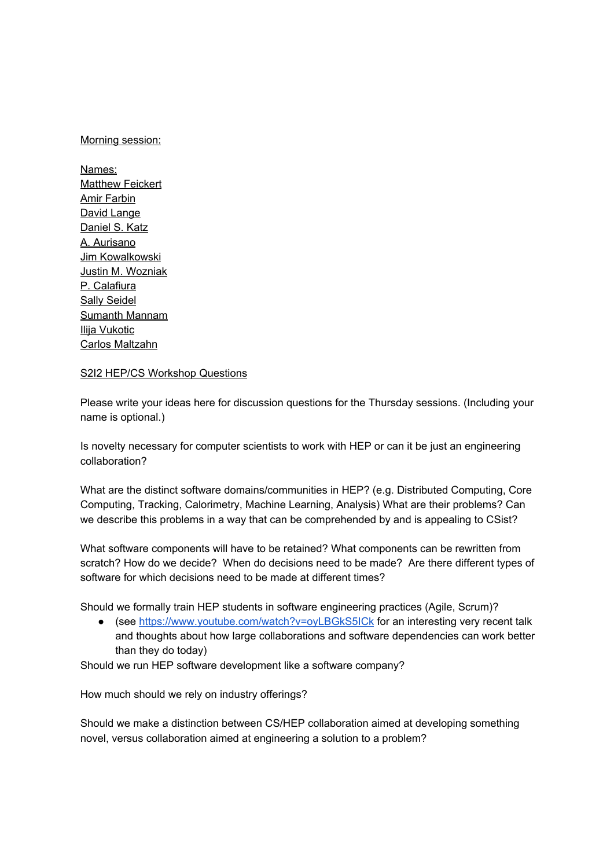## Morning session:

Names: **Matthew Feickert** Amir Farbin David Lange Daniel S. Katz A. Aurisano Jim Kowalkowski Justin M. Wozniak P. Calafiura Sally Seidel Sumanth Mannam Ilija Vukotic Carlos Maltzahn

## S2I2 HEP/CS Workshop Questions

Please write your ideas here for discussion questions for the Thursday sessions. (Including your name is optional.)

Is novelty necessary for computer scientists to work with HEP or can it be just an engineering collaboration?

What are the distinct software domains/communities in HEP? (e.g. Distributed Computing, Core Computing, Tracking, Calorimetry, Machine Learning, Analysis) What are their problems? Can we describe this problems in a way that can be comprehended by and is appealing to CSist?

What software components will have to be retained? What components can be rewritten from scratch? How do we decide? When do decisions need to be made? Are there different types of software for which decisions need to be made at different times?

Should we formally train HEP students in software engineering practices (Agile, Scrum)?

● (see https://www.youtube.com/watch?v=oyLBGkS5ICk for an interesting very recent talk and thoughts about how large collaborations and software dependencies can work better than they do today)

Should we run HEP software development like a software company?

How much should we rely on industry offerings?

Should we make a distinction between CS/HEP collaboration aimed at developing something novel, versus collaboration aimed at engineering a solution to a problem?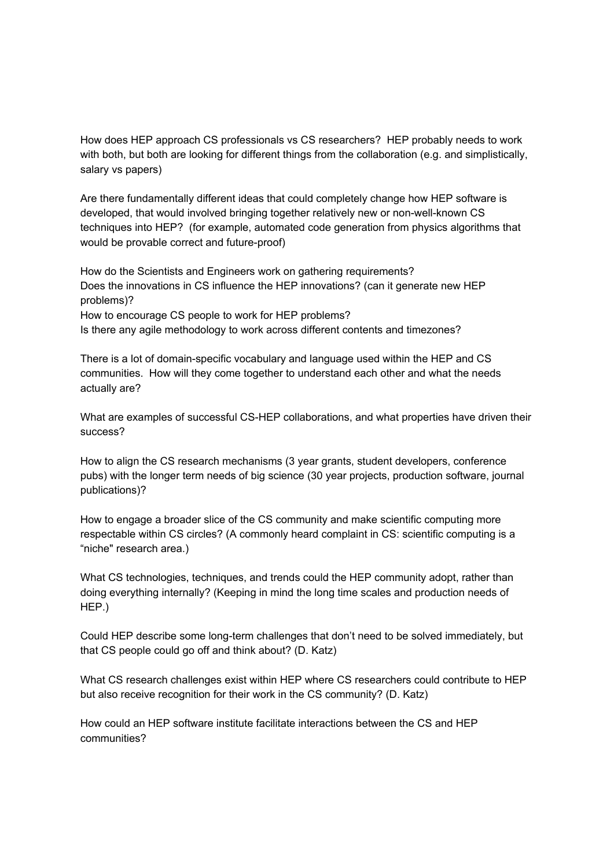How does HEP approach CS professionals vs CS researchers? HEP probably needs to work with both, but both are looking for different things from the collaboration (e.g. and simplistically, salary vs papers)

Are there fundamentally different ideas that could completely change how HEP software is developed, that would involved bringing together relatively new or non-well-known CS techniques into HEP? (for example, automated code generation from physics algorithms that would be provable correct and future-proof)

How do the Scientists and Engineers work on gathering requirements? Does the innovations in CS influence the HEP innovations? (can it generate new HEP problems)? How to encourage CS people to work for HEP problems? Is there any agile methodology to work across different contents and timezones?

There is a lot of domain-specific vocabulary and language used within the HEP and CS communities. How will they come together to understand each other and what the needs actually are?

What are examples of successful CS-HEP collaborations, and what properties have driven their success?

How to align the CS research mechanisms (3 year grants, student developers, conference pubs) with the longer term needs of big science (30 year projects, production software, journal publications)?

How to engage a broader slice of the CS community and make scientific computing more respectable within CS circles? (A commonly heard complaint in CS: scientific computing is a "niche" research area.)

What CS technologies, techniques, and trends could the HEP community adopt, rather than doing everything internally? (Keeping in mind the long time scales and production needs of HEP.)

Could HEP describe some long-term challenges that don't need to be solved immediately, but that CS people could go off and think about? (D. Katz)

What CS research challenges exist within HEP where CS researchers could contribute to HEP but also receive recognition for their work in the CS community? (D. Katz)

How could an HEP software institute facilitate interactions between the CS and HEP communities?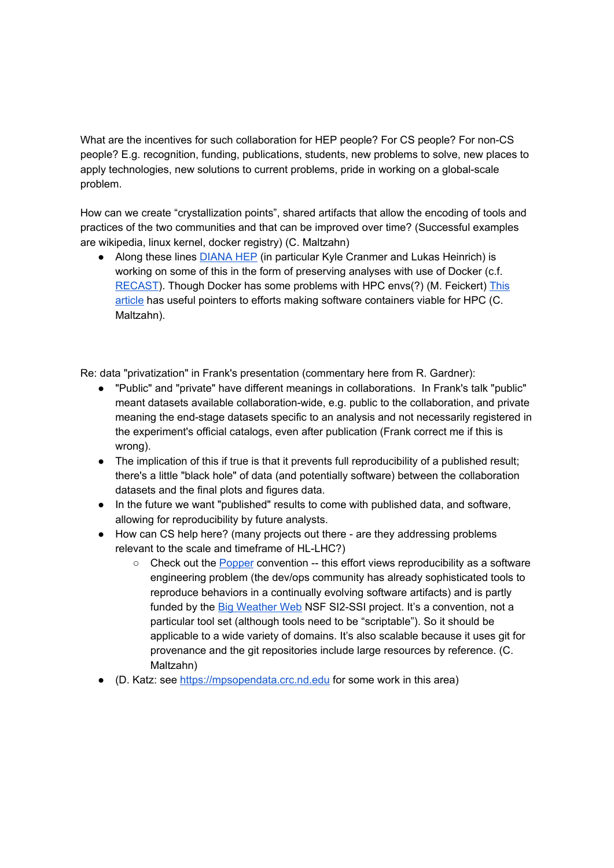What are the incentives for such collaboration for HEP people? For CS people? For non-CS people? E.g. recognition, funding, publications, students, new problems to solve, new places to apply technologies, new solutions to current problems, pride in working on a global-scale problem.

How can we create "crystallization points", shared artifacts that allow the encoding of tools and practices of the two communities and that can be improved over time? (Successful examples are wikipedia, linux kernel, docker registry) (C. Maltzahn)

• Along these lines DIANA HEP (in particular Kyle Cranmer and Lukas Heinrich) is working on some of this in the form of preserving analyses with use of Docker (c.f. RECAST). Though Docker has some problems with HPC envs(?) (M. Feickert) This article has useful pointers to efforts making software containers viable for HPC (C. Maltzahn).

Re: data "privatization" in Frank's presentation (commentary here from R. Gardner):

- "Public" and "private" have different meanings in collaborations. In Frank's talk "public" meant datasets available collaboration-wide, e.g. public to the collaboration, and private meaning the end-stage datasets specific to an analysis and not necessarily registered in the experiment's official catalogs, even after publication (Frank correct me if this is wrong).
- The implication of this if true is that it prevents full reproducibility of a published result; there's a little "black hole" of data (and potentially software) between the collaboration datasets and the final plots and figures data.
- In the future we want "published" results to come with published data, and software, allowing for reproducibility by future analysts.
- How can CS help here? (many projects out there are they addressing problems relevant to the scale and timeframe of HL-LHC?)
	- Check out the Popper convention -- this effort views reproducibility as a software engineering problem (the dev/ops community has already sophisticated tools to reproduce behaviors in a continually evolving software artifacts) and is partly funded by the Big Weather Web NSF SI2-SSI project. It's a convention, not a particular tool set (although tools need to be "scriptable"). So it should be applicable to a wide variety of domains. It's also scalable because it uses git for provenance and the git repositories include large resources by reference. (C. Maltzahn)
- (D. Katz: see https://mpsopendata.crc.nd.edu for some work in this area)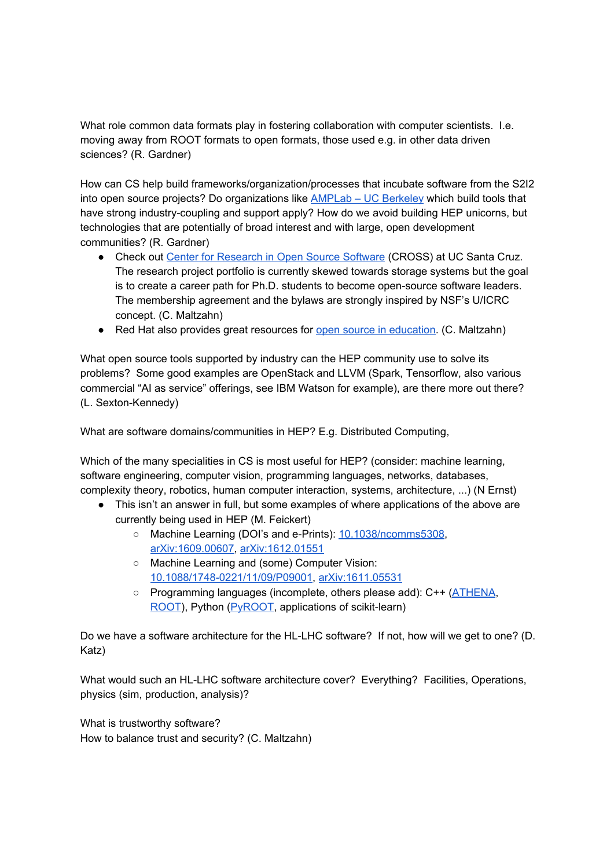What role common data formats play in fostering collaboration with computer scientists. I.e. moving away from ROOT formats to open formats, those used e.g. in other data driven sciences? (R. Gardner)

How can CS help build frameworks/organization/processes that incubate software from the S2I2 into open source projects? Do organizations like AMPLab – UC Berkeley which build tools that have strong industry-coupling and support apply? How do we avoid building HEP unicorns, but technologies that are potentially of broad interest and with large, open development communities? (R. Gardner)

- Check out Center for Research in Open Source Software (CROSS) at UC Santa Cruz. The research project portfolio is currently skewed towards storage systems but the goal is to create a career path for Ph.D. students to become open-source software leaders. The membership agreement and the bylaws are strongly inspired by NSF's U/ICRC concept. (C. Maltzahn)
- Red Hat also provides great resources for open source in education. (C. Maltzahn)

What open source tools supported by industry can the HEP community use to solve its problems? Some good examples are OpenStack and LLVM (Spark, Tensorflow, also various commercial "AI as service" offerings, see IBM Watson for example), are there more out there? (L. Sexton-Kennedy)

What are software domains/communities in HEP? E.g. Distributed Computing,

Which of the many specialities in CS is most useful for HEP? (consider: machine learning, software engineering, computer vision, programming languages, networks, databases, complexity theory, robotics, human computer interaction, systems, architecture, ...) (N Ernst)

- This isn't an answer in full, but some examples of where applications of the above are currently being used in HEP (M. Feickert)
	- Machine Learning (DOI's and e-Prints): 10.1038/ncomms5308, arXiv:1609.00607, arXiv:1612.01551
	- Machine Learning and (some) Computer Vision: 10.1088/1748-0221/11/09/P09001, arXiv:1611.05531
	- Programming languages (incomplete, others please add): C++ (ATHENA, ROOT), Python (PyROOT, applications of scikit-learn)

Do we have a software architecture for the HL-LHC software? If not, how will we get to one? (D. Katz)

What would such an HL-LHC software architecture cover? Everything? Facilities, Operations, physics (sim, production, analysis)?

What is trustworthy software? How to balance trust and security? (C. Maltzahn)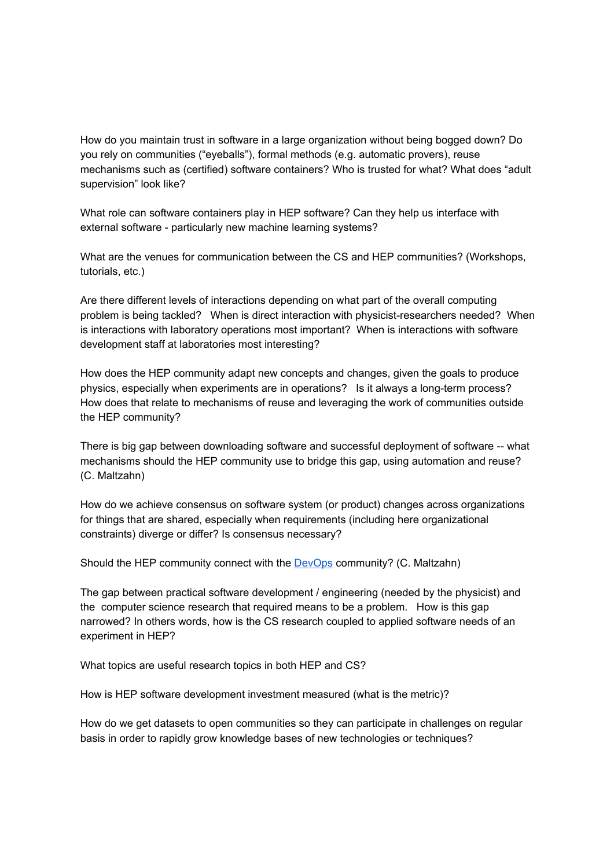How do you maintain trust in software in a large organization without being bogged down? Do you rely on communities ("eyeballs"), formal methods (e.g. automatic provers), reuse mechanisms such as (certified) software containers? Who is trusted for what? What does "adult supervision" look like?

What role can software containers play in HEP software? Can they help us interface with external software - particularly new machine learning systems?

What are the venues for communication between the CS and HEP communities? (Workshops, tutorials, etc.)

Are there different levels of interactions depending on what part of the overall computing problem is being tackled? When is direct interaction with physicist-researchers needed? When is interactions with laboratory operations most important? When is interactions with software development staff at laboratories most interesting?

How does the HEP community adapt new concepts and changes, given the goals to produce physics, especially when experiments are in operations? Is it always a long-term process? How does that relate to mechanisms of reuse and leveraging the work of communities outside the HEP community?

There is big gap between downloading software and successful deployment of software -- what mechanisms should the HEP community use to bridge this gap, using automation and reuse? (C. Maltzahn)

How do we achieve consensus on software system (or product) changes across organizations for things that are shared, especially when requirements (including here organizational constraints) diverge or differ? Is consensus necessary?

Should the HEP community connect with the DevOps community? (C. Maltzahn)

The gap between practical software development / engineering (needed by the physicist) and the computer science research that required means to be a problem. How is this gap narrowed? In others words, how is the CS research coupled to applied software needs of an experiment in HEP?

What topics are useful research topics in both HEP and CS?

How is HEP software development investment measured (what is the metric)?

How do we get datasets to open communities so they can participate in challenges on regular basis in order to rapidly grow knowledge bases of new technologies or techniques?